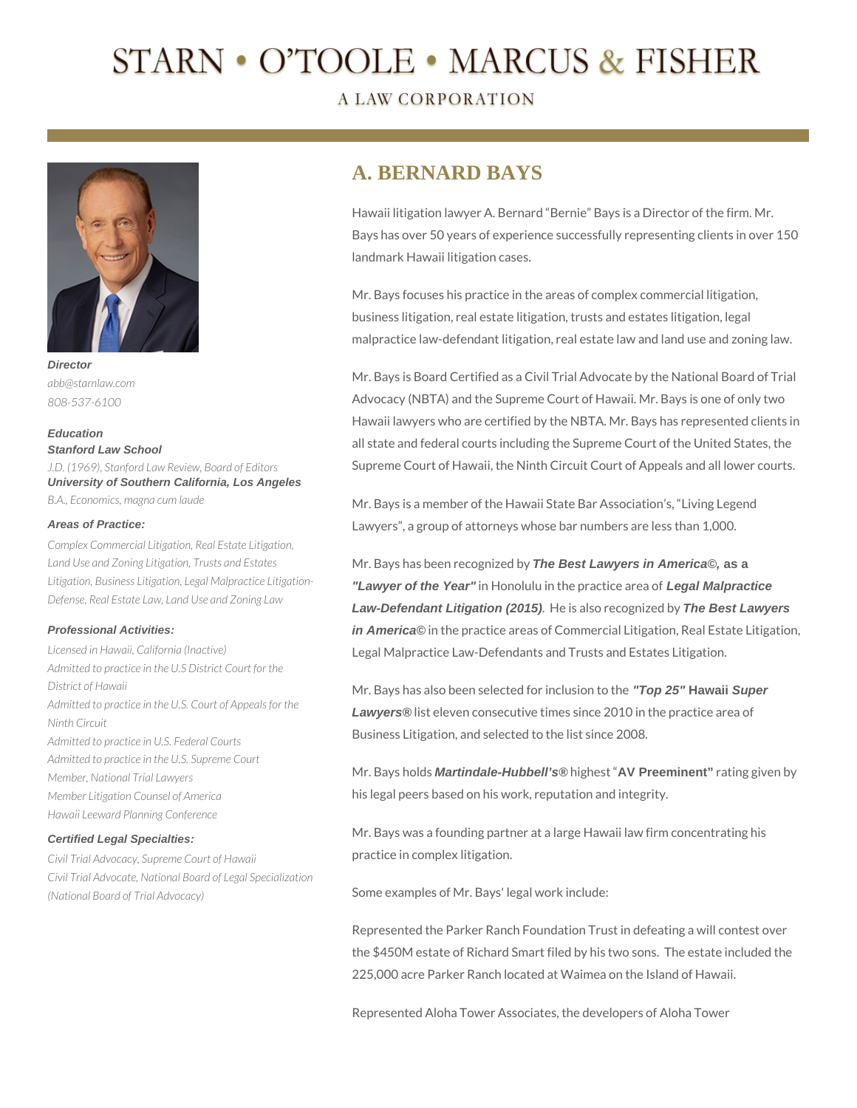# **STARN • O'TOOLE • MARCUS & FISHER**

## **A LAW CORPORATION**



**Director** *abb@starnlaw.com 808-537-6100*

## **Education Stanford Law School** *J.D. (1969), Stanford Law Review, Board of Editors*

**University of Southern California, Los Angeles** *B.A., Economics, magna cum laude*

#### **Areas of Practice:**

*Complex Commercial Litigation, Real Estate Litigation, Land Use and Zoning Litigation, Trusts and Estates Litigation, Business Litigation, Legal Malpractice Litigation-Defense, Real Estate Law, Land Use and Zoning Law*

#### **Professional Activities:**

*Licensed in Hawaii, California (Inactive) Admitted to practice in the U.S District Court for the District of Hawaii Admitted to practice in the U.S. Court of Appeals for the Ninth Circuit Admitted to practice in U.S. Federal Courts Admitted to practice in the U.S. Supreme Court Member, National Trial Lawyers Member Litigation Counsel of America Hawaii Leeward Planning Conference*

#### **Certified Legal Specialties:**

*Civil Trial Advocacy, Supreme Court of Hawaii Civil Trial Advocate, National Board of Legal Specialization (National Board of Trial Advocacy)*

# **A. BERNARD BAYS**

Hawaii litigation lawyer A. Bernard "Bernie" Bays is a Director of the firm. Mr. Bays has over 50 years of experience successfully representing clients in over 150 landmark Hawaii litigation cases.

Mr. Bays focuses his practice in the areas of complex commercial litigation, business litigation, real estate litigation, trusts and estates litigation, legal malpractice law-defendant litigation, real estate law and land use and zoning law.

Mr. Bays is Board Certified as a Civil Trial Advocate by the National Board of Trial Advocacy (NBTA) and the Supreme Court of Hawaii. Mr. Bays is one of only two Hawaii lawyers who are certified by the NBTA. Mr. Bays has represented clients in all state and federal courts including the Supreme Court of the United States, the Supreme Court of Hawaii, the Ninth Circuit Court of Appeals and all lower courts.

Mr. Bays is a member of the Hawaii State Bar Association's, "Living Legend Lawyers", a group of attorneys whose bar numbers are less than 1,000.

Mr. Bays has been recognized by **The Best Lawyers in America©, as a "Lawyer of the Year"** in Honolulu in the practice area of **Legal Malpractice Law-Defendant Litigation (2015)**. He is also recognized by **The Best Lawyers in America©** in the practice areas of Commercial Litigation, Real Estate Litigation, Legal Malpractice Law-Defendants and Trusts and Estates Litigation.

Mr. Bays has also been selected for inclusion to the **"Top 25" Hawaii Super Lawyers®** list eleven consecutive times since 2010 in the practice area of Business Litigation, and selected to the list since 2008.

Mr. Bays holds **Martindale-Hubbell's®** highest "**AV Preeminent"** rating given by his legal peers based on his work, reputation and integrity.

Mr. Bays was a founding partner at a large Hawaii law firm concentrating his practice in complex litigation.

Some examples of Mr. Bays' legal work include:

Represented the Parker Ranch Foundation Trust in defeating a will contest over the \$450M estate of Richard Smart filed by his two sons. The estate included the 225,000 acre Parker Ranch located at Waimea on the Island of Hawaii.

Represented Aloha Tower Associates, the developers of Aloha Tower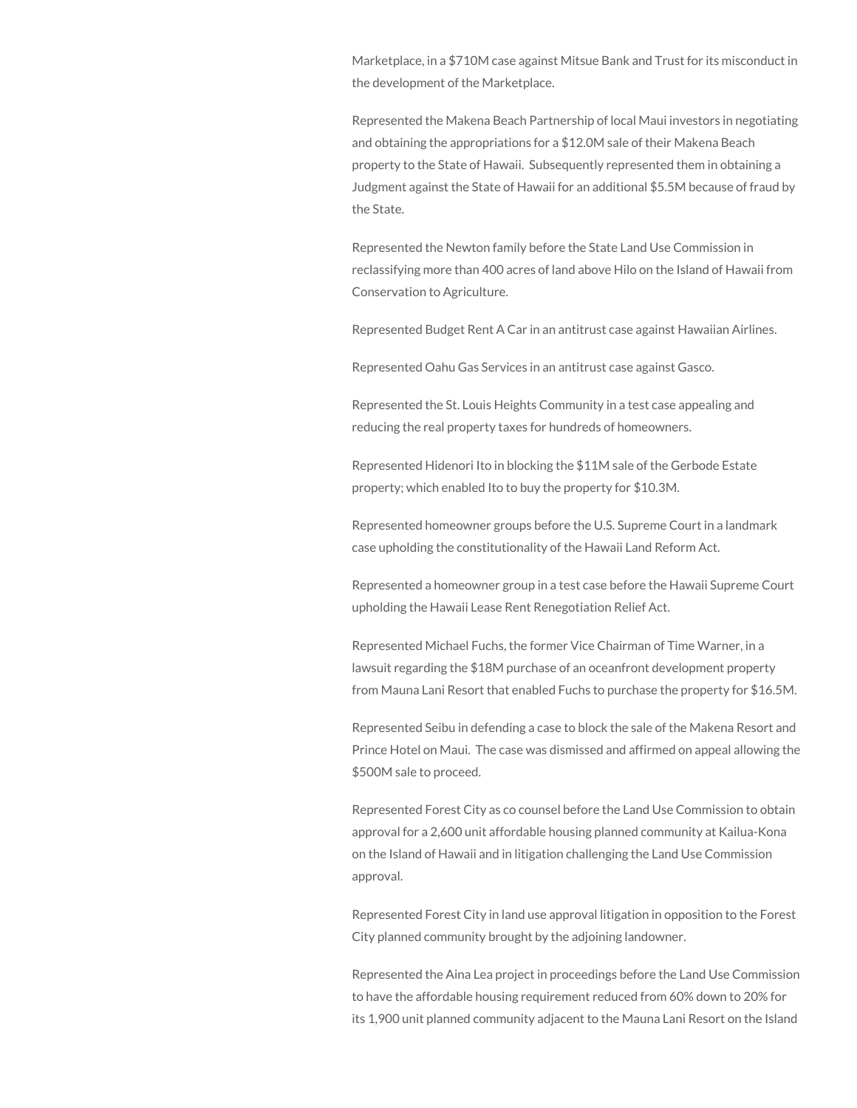Marketplace, in a \$710M case against Mitsue Bank and Trust for its misconduct in the development of the Marketplace.

Represented the Makena Beach Partnership of local Maui investors in negotiating and obtaining the appropriations for a \$12.0M sale of their Makena Beach property to the State of Hawaii. Subsequently represented them in obtaining a Judgment against the State of Hawaii for an additional \$5.5M because of fraud by the State.

Represented the Newton family before the State Land Use Commission in reclassifying more than 400 acres of land above Hilo on the Island of Hawaii from Conservation to Agriculture.

Represented Budget Rent A Car in an antitrust case against Hawaiian Airlines.

Represented Oahu Gas Services in an antitrust case against Gasco.

Represented the St. Louis Heights Community in a test case appealing and reducing the real property taxes for hundreds of homeowners.

Represented Hidenori Ito in blocking the \$11M sale of the Gerbode Estate property; which enabled Ito to buy the property for \$10.3M.

Represented homeowner groups before the U.S. Supreme Court in a landmark case upholding the constitutionality of the Hawaii Land Reform Act.

Represented a homeowner group in a test case before the Hawaii Supreme Court upholding the Hawaii Lease Rent Renegotiation Relief Act.

Represented Michael Fuchs, the former Vice Chairman of Time Warner, in a lawsuit regarding the \$18M purchase of an oceanfront development property from Mauna Lani Resort that enabled Fuchs to purchase the property for \$16.5M.

Represented Seibu in defending a case to block the sale of the Makena Resort and Prince Hotel on Maui. The case was dismissed and affirmed on appeal allowing the \$500M sale to proceed.

Represented Forest City as co counsel before the Land Use Commission to obtain approval for a 2,600 unit affordable housing planned community at Kailua-Kona on the Island of Hawaii and in litigation challenging the Land Use Commission approval.

Represented Forest City in land use approval litigation in opposition to the Forest City planned community brought by the adjoining landowner.

Represented the Aina Lea project in proceedings before the Land Use Commission to have the affordable housing requirement reduced from 60% down to 20% for its 1,900 unit planned community adjacent to the Mauna Lani Resort on the Island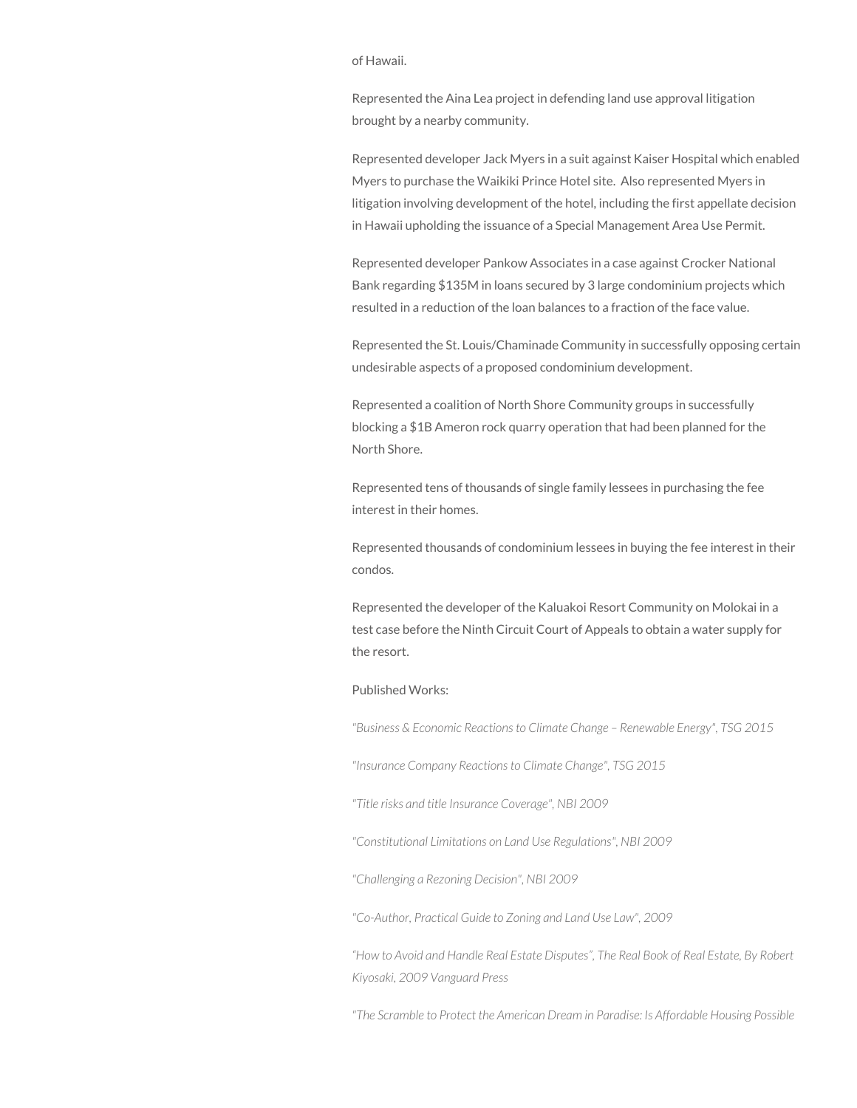#### of Hawaii.

Represented the Aina Lea project in defending land use approval litigation brought by a nearby community.

Represented developer Jack Myers in a suit against Kaiser Hospital which enabled Myers to purchase the Waikiki Prince Hotel site. Also represented Myers in litigation involving development of the hotel, including the first appellate decision in Hawaii upholding the issuance of a Special Management Area Use Permit.

Represented developer Pankow Associates in a case against Crocker National Bank regarding \$135M in loans secured by 3 large condominium projects which resulted in a reduction of the loan balances to a fraction of the face value.

Represented the St. Louis/Chaminade Community in successfully opposing certain undesirable aspects of a proposed condominium development.

Represented a coalition of North Shore Community groups in successfully blocking a \$1B Ameron rock quarry operation that had been planned for the North Shore.

Represented tens of thousands of single family lessees in purchasing the fee interest in their homes.

Represented thousands of condominium lessees in buying the fee interest in their condos.

Represented the developer of the Kaluakoi Resort Community on Molokai in a test case before the Ninth Circuit Court of Appeals to obtain a water supply for the resort.

#### Published Works:

*"Business & Economic Reactions to Climate Change – Renewable Energy", TSG 2015*

*"Insurance Company Reactions to Climate Change", TSG 2015*

*"Title risks and title Insurance Coverage", NBI 2009*

*"Constitutional Limitations on Land Use Regulations", NBI 2009*

*"Challenging a Rezoning Decision", NBI 2009*

*"Co-Author, Practical Guide to Zoning and Land Use Law", 2009*

*"How to Avoid and Handle Real Estate Disputes", The Real Book of Real Estate, By Robert Kiyosaki, 2009 Vanguard Press*

*"The Scramble to Protect the American Dream in Paradise: Is Affordable Housing Possible*